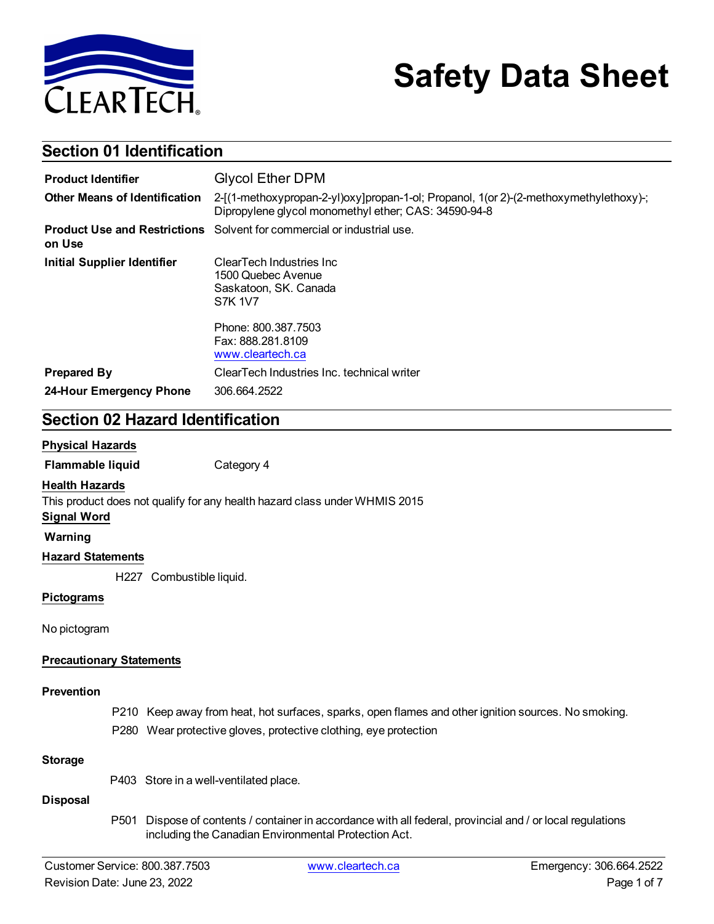

# **Safety Data Sheet**

### **Section 01 Identification**

| <b>Product Identifier</b>            | <b>Glycol Ether DPM</b>                                                                                                                       |  |  |
|--------------------------------------|-----------------------------------------------------------------------------------------------------------------------------------------------|--|--|
| <b>Other Means of Identification</b> | 2-[(1-methoxypropan-2-yl)oxy]propan-1-ol; Propanol, 1(or 2)-(2-methoxymethylethoxy)-;<br>Dipropylene glycol monomethyl ether; CAS: 34590-94-8 |  |  |
| on Use                               | <b>Product Use and Restrictions</b> Solvent for commercial or industrial use.                                                                 |  |  |
| <b>Initial Supplier Identifier</b>   | ClearTech Industries Inc<br>1500 Quebec Avenue<br>Saskatoon, SK. Canada<br>S7K 1V7                                                            |  |  |
|                                      | Phone: 800.387.7503<br>Fax: 888.281.8109<br>www.cleartech.ca                                                                                  |  |  |
| <b>Prepared By</b>                   | ClearTech Industries Inc. technical writer                                                                                                    |  |  |
| 24-Hour Emergency Phone              | 306.664.2522                                                                                                                                  |  |  |

### **Section 02 Hazard Identification**

#### **Physical Hazards**

**Flammable liquid** Category 4

#### **Health Hazards**

This product does not qualify for any health hazard class under WHMIS 2015

### **Signal Word**

**Warning**

#### **Hazard Statements**

H227 Combustible liquid.

#### **Pictograms**

No pictogram

#### **Precautionary Statements**

#### **Prevention**

- P210 Keep away from heat, hot surfaces, sparks, open flames and other ignition sources. No smoking.
- P280 Wear protective gloves, protective clothing, eye protection

#### **Storage**

P403 Store in a well-ventilated place.

#### **Disposal**

P501 Dispose of contents / container in accordance with all federal, provincial and / or local regulations including the Canadian Environmental Protection Act.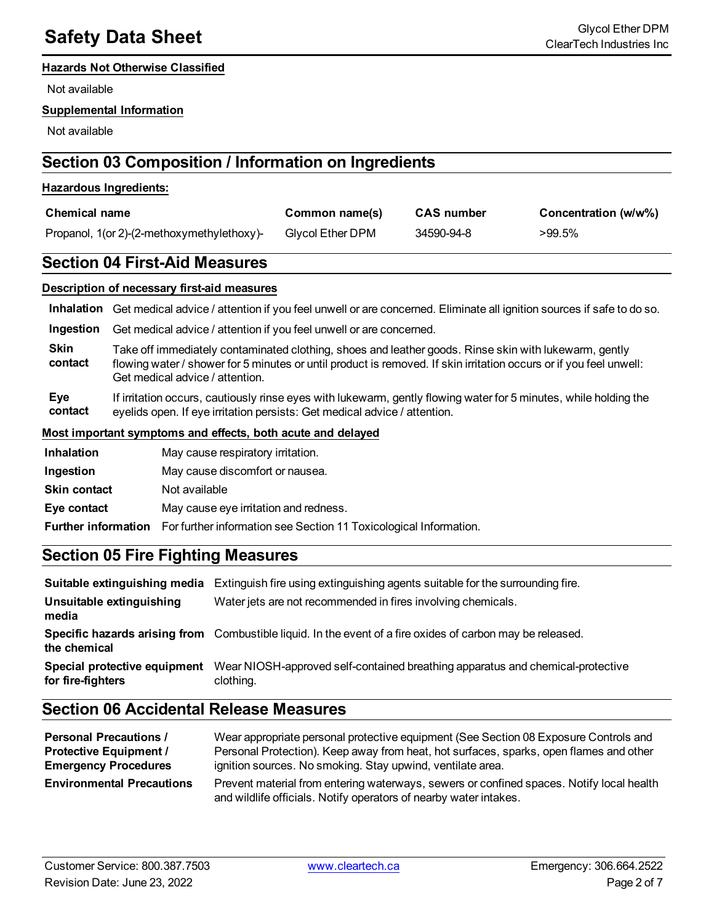#### **Hazards Not Otherwise Classified**

Not available

#### **Supplemental Information**

Not available

### **Section 03 Composition / Information on Ingredients**

#### **Hazardous Ingredients:**

| <b>Chemical name</b>                       | Common name(s)   | <b>CAS</b> number | Concentration (w/w%) |  |
|--------------------------------------------|------------------|-------------------|----------------------|--|
| Propanol, 1(or 2)-(2-methoxymethylethoxy)- | Glycol Ether DPM | 34590-94-8        | >99.5%               |  |

### **Section 04 First-Aid Measures**

#### **Description of necessary first-aid measures**

**Inhalation** Get medical advice / attention if you feel unwell or are concerned. Eliminate all ignition sources if safe to do so.

**Ingestion** Get medical advice / attention if you feel unwell or are concerned.

**Skin contact** Take off immediately contaminated clothing, shoes and leather goods. Rinse skin with lukewarm, gently flowing water / shower for 5 minutes or until product is removed. If skin irritation occurs or if you feel unwell: Get medical advice / attention.

**Eye contact** If irritation occurs, cautiously rinse eyes with lukewarm, gently flowing water for 5 minutes, while holding the eyelids open. If eye irritation persists: Get medical advice / attention.

#### **Most important symptoms and effects, both acute and delayed**

| <b>Inhalation</b>   | May cause respiratory irritation.                                                            |
|---------------------|----------------------------------------------------------------------------------------------|
| Ingestion           | May cause discomfort or nausea.                                                              |
| <b>Skin contact</b> | Not available                                                                                |
| Eye contact         | May cause eye irritation and redness.                                                        |
|                     | <b>Further information</b> For further information see Section 11 Toxicological Information. |

### **Section 05 Fire Fighting Measures**

|                                                   | <b>Suitable extinguishing media</b> Extinguish fire using extinguishing agents suitable for the surrounding fire. |
|---------------------------------------------------|-------------------------------------------------------------------------------------------------------------------|
| Unsuitable extinguishing<br>media                 | Water jets are not recommended in fires involving chemicals.                                                      |
| the chemical                                      | Specific hazards arising from Combustible liquid. In the event of a fire oxides of carbon may be released.        |
| Special protective equipment<br>for fire-fighters | Wear NIOSH-approved self-contained breathing apparatus and chemical-protective<br>clothing.                       |

### **Section 06 Accidental Release Measures**

| <b>Personal Precautions /</b><br><b>Protective Equipment /</b> | Wear appropriate personal protective equipment (See Section 08 Exposure Controls and<br>Personal Protection). Keep away from heat, hot surfaces, sparks, open flames and other |
|----------------------------------------------------------------|--------------------------------------------------------------------------------------------------------------------------------------------------------------------------------|
| <b>Emergency Procedures</b>                                    | ignition sources. No smoking. Stay upwind, ventilate area.                                                                                                                     |
| <b>Environmental Precautions</b>                               | Prevent material from entering waterways, sewers or confined spaces. Notify local health<br>and wildlife officials. Notify operators of nearby water intakes.                  |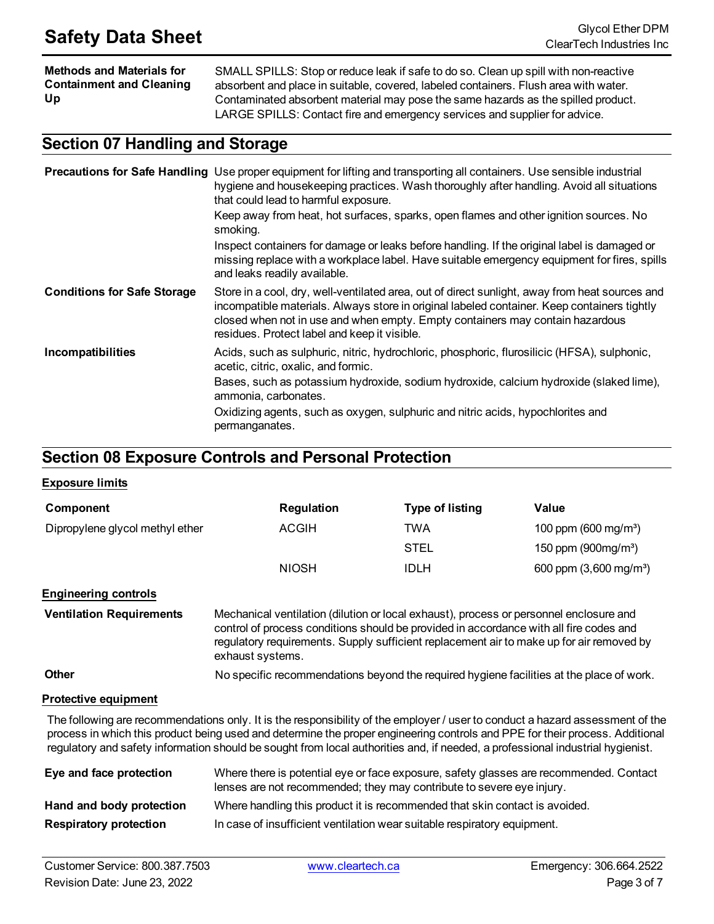**Methods and Materials for Containment and Cleaning Up** SMALL SPILLS: Stop or reduce leak if safe to do so. Clean up spill with non-reactive absorbent and place in suitable, covered, labeled containers. Flush area with water. Contaminated absorbent material may pose the same hazards as the spilled product.

LARGE SPILLS: Contact fire and emergency services and supplier for advice.

### **Section 07 Handling and Storage**

|                                    | <b>Precautions for Safe Handling</b> Use proper equipment for lifting and transporting all containers. Use sensible industrial<br>hygiene and housekeeping practices. Wash thoroughly after handling. Avoid all situations<br>that could lead to harmful exposure.                                                             |
|------------------------------------|--------------------------------------------------------------------------------------------------------------------------------------------------------------------------------------------------------------------------------------------------------------------------------------------------------------------------------|
|                                    | Keep away from heat, hot surfaces, sparks, open flames and other ignition sources. No<br>smoking.                                                                                                                                                                                                                              |
|                                    | Inspect containers for damage or leaks before handling. If the original label is damaged or<br>missing replace with a workplace label. Have suitable emergency equipment for fires, spills<br>and leaks readily available.                                                                                                     |
| <b>Conditions for Safe Storage</b> | Store in a cool, dry, well-ventilated area, out of direct sunlight, away from heat sources and<br>incompatible materials. Always store in original labeled container. Keep containers tightly<br>closed when not in use and when empty. Empty containers may contain hazardous<br>residues. Protect label and keep it visible. |
| Incompatibilities                  | Acids, such as sulphuric, nitric, hydrochloric, phosphoric, flurosilicic (HFSA), sulphonic,<br>acetic, citric, oxalic, and formic.                                                                                                                                                                                             |
|                                    | Bases, such as potassium hydroxide, sodium hydroxide, calcium hydroxide (slaked lime),<br>ammonia, carbonates.                                                                                                                                                                                                                 |
|                                    | Oxidizing agents, such as oxygen, sulphuric and nitric acids, hypochlorites and<br>permanganates.                                                                                                                                                                                                                              |

### **Section 08 Exposure Controls and Personal Protection**

#### **Exposure limits**

| Component                       | <b>Regulation</b> | <b>Type of listing</b> | Value                            |
|---------------------------------|-------------------|------------------------|----------------------------------|
| Dipropylene glycol methyl ether | <b>ACGIH</b>      | TWA                    | 100 ppm (600 mg/m <sup>3</sup> ) |
|                                 |                   | <b>STEL</b>            | 150 ppm $(900mg/m3)$             |
|                                 | <b>NIOSH</b>      | IDLH                   | 600 ppm $(3,600 \text{ mg/m}^3)$ |

**Engineering controls**

**Ventilation Requirements** Mechanical ventilation (dilution or local exhaust), process or personnel enclosure and control of process conditions should be provided in accordance with all fire codes and regulatory requirements. Supply sufficient replacement air to make up for air removed by exhaust systems.

**Other** No specific recommendations beyond the required hygiene facilities at the place of work.

#### **Protective equipment**

The following are recommendations only. It is the responsibility of the employer / user to conduct a hazard assessment of the process in which this product being used and determine the proper engineering controls and PPE for their process. Additional regulatory and safety information should be sought from local authorities and, if needed, a professional industrial hygienist.

| Eye and face protection       | Where there is potential eye or face exposure, safety glasses are recommended. Contact<br>lenses are not recommended; they may contribute to severe eye injury. |
|-------------------------------|-----------------------------------------------------------------------------------------------------------------------------------------------------------------|
| Hand and body protection      | Where handling this product it is recommended that skin contact is avoided.                                                                                     |
| <b>Respiratory protection</b> | In case of insufficient ventilation wear suitable respiratory equipment.                                                                                        |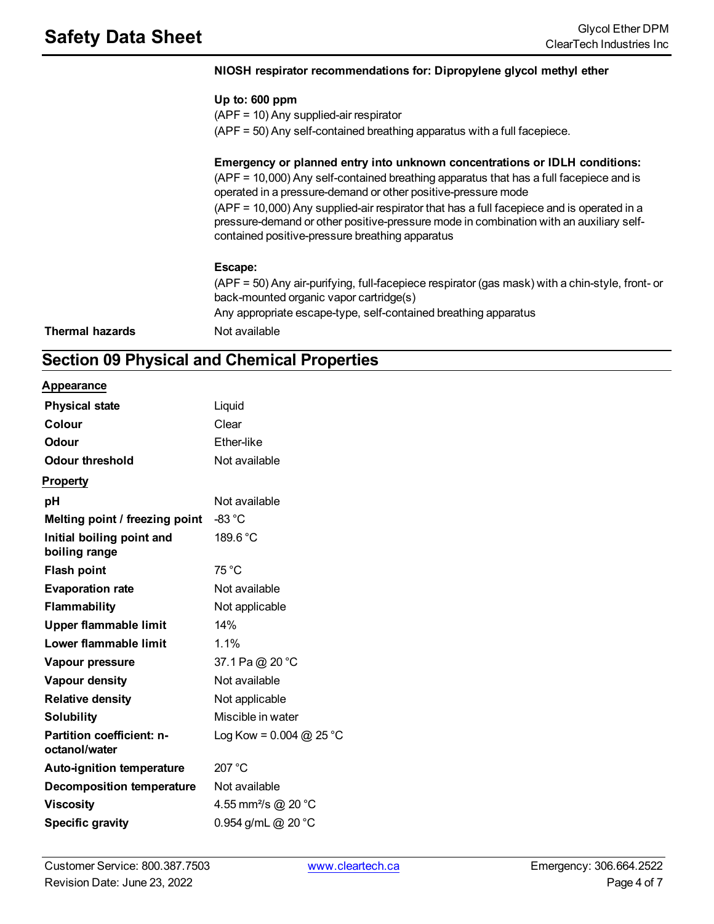#### **NIOSH respirator recommendations for: Dipropylene glycol methyl ether**

#### **Up to: 600 ppm**

(APF = 10) Any supplied-air respirator

(APF = 50) Any self-contained breathing apparatus with a full facepiece.

#### **Emergency or planned entry into unknown concentrations or IDLH conditions:**

(APF = 10,000) Any self-contained breathing apparatus that has a full facepiece and is operated in a pressure-demand or other positive-pressure mode (APF = 10,000) Any supplied-air respirator that has a full facepiece and is operated in a

pressure-demand or other positive-pressure mode in combination with an auxiliary selfcontained positive-pressure breathing apparatus

#### **Escape:**

(APF = 50) Any air-purifying, full-facepiece respirator (gas mask) with a chin-style, front- or back-mounted organic vapor cartridge(s) Any appropriate escape-type, self-contained breathing apparatus **Thermal hazards** Not available

### **Section 09 Physical and Chemical Properties**

#### **Appearance**

| <b>Physical state</b>                             | Liquid                          |
|---------------------------------------------------|---------------------------------|
| Colour                                            | Clear                           |
| <b>Odour</b>                                      | Ether-like                      |
| <b>Odour threshold</b>                            | Not available                   |
| <b>Property</b>                                   |                                 |
| рH                                                | Not available                   |
| Melting point / freezing point                    | -83 °C                          |
| Initial boiling point and<br>boiling range        | 189.6 °C                        |
| <b>Flash point</b>                                | 75 °C                           |
| <b>Evaporation rate</b>                           | Not available                   |
| <b>Flammability</b>                               | Not applicable                  |
| <b>Upper flammable limit</b>                      | 14%                             |
| Lower flammable limit                             | 1.1%                            |
| Vapour pressure                                   | 37.1 Pa @ 20 °C                 |
| Vapour density                                    | Not available                   |
| <b>Relative density</b>                           | Not applicable                  |
| <b>Solubility</b>                                 | Miscible in water               |
| <b>Partition coefficient: n-</b><br>octanol/water | Log Kow = $0.004$ @ 25 °C       |
| <b>Auto-ignition temperature</b>                  | 207 °C                          |
| <b>Decomposition temperature</b>                  | Not available                   |
| <b>Viscosity</b>                                  | 4.55 mm <sup>2</sup> /s @ 20 °C |
| <b>Specific gravity</b>                           | 0.954 g/mL @ 20 °C              |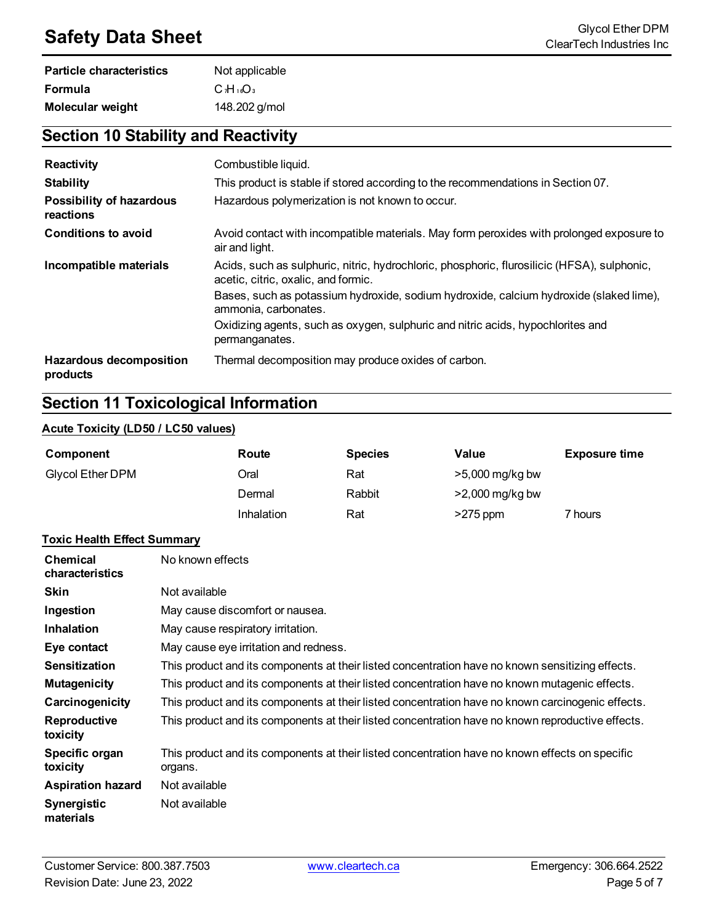## **Safety Data Sheet** Glycol Ether DPM<br>ClearTech Industries Inc.

| <b>Particle characteristics</b> | Not applicable |  |  |
|---------------------------------|----------------|--|--|
| <b>Formula</b>                  | $C_1H_{16}O_3$ |  |  |
| <b>Molecular weight</b>         | 148.202 g/mol  |  |  |

### **Section 10 Stability and Reactivity**

| Reactivity                                   | Combustible liquid.                                                                                                                |  |  |  |
|----------------------------------------------|------------------------------------------------------------------------------------------------------------------------------------|--|--|--|
| <b>Stability</b>                             | This product is stable if stored according to the recommendations in Section 07.                                                   |  |  |  |
| <b>Possibility of hazardous</b><br>reactions | Hazardous polymerization is not known to occur.                                                                                    |  |  |  |
| <b>Conditions to avoid</b>                   | Avoid contact with incompatible materials. May form peroxides with prolonged exposure to<br>air and light.                         |  |  |  |
| Incompatible materials                       | Acids, such as sulphuric, nitric, hydrochloric, phosphoric, flurosilicic (HFSA), sulphonic,<br>acetic, citric, oxalic, and formic. |  |  |  |
|                                              | Bases, such as potassium hydroxide, sodium hydroxide, calcium hydroxide (slaked lime),<br>ammonia, carbonates.                     |  |  |  |
|                                              | Oxidizing agents, such as oxygen, sulphuric and nitric acids, hypochlorites and<br>permanganates.                                  |  |  |  |
| <b>Hazardous decomposition</b><br>products   | Thermal decomposition may produce oxides of carbon.                                                                                |  |  |  |

### **Section 11 Toxicological Information**

#### **Acute Toxicity (LD50 / LC50 values)**

| Component               | Route      | <b>Species</b> | Value             | <b>Exposure time</b> |
|-------------------------|------------|----------------|-------------------|----------------------|
| <b>Glycol Ether DPM</b> | Oral       | Rat            | >5,000 mg/kg bw   |                      |
|                         | Dermal     | Rabbit         | $>2,000$ mg/kg bw |                      |
|                         | Inhalation | Rat            | $>275$ ppm        | 7 hours              |

#### **Toxic Health Effect Summary**

| <b>Chemical</b><br>characteristics | No known effects                                                                                           |
|------------------------------------|------------------------------------------------------------------------------------------------------------|
| <b>Skin</b>                        | Not available                                                                                              |
| Ingestion                          | May cause discomfort or nausea.                                                                            |
| <b>Inhalation</b>                  | May cause respiratory irritation.                                                                          |
| Eye contact                        | May cause eye irritation and redness.                                                                      |
| <b>Sensitization</b>               | This product and its components at their listed concentration have no known sensitizing effects.           |
| <b>Mutagenicity</b>                | This product and its components at their listed concentration have no known mutagenic effects.             |
| Carcinogenicity                    | This product and its components at their listed concentration have no known carcinogenic effects.          |
| Reproductive<br>toxicity           | This product and its components at their listed concentration have no known reproductive effects.          |
| Specific organ<br>toxicity         | This product and its components at their listed concentration have no known effects on specific<br>organs. |
| <b>Aspiration hazard</b>           | Not available                                                                                              |
| <b>Synergistic</b><br>materials    | Not available                                                                                              |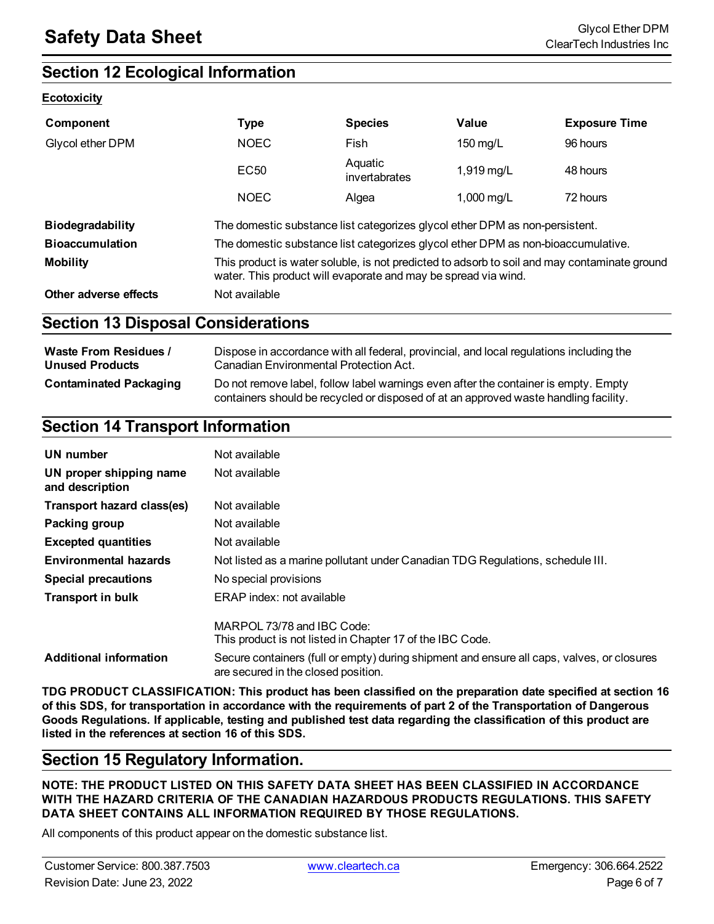### **Section 12 Ecological Information**

#### **Ecotoxicity**

| Component               | <b>Type</b>                                                                                                                                                    | <b>Species</b>           | Value        | <b>Exposure Time</b> |
|-------------------------|----------------------------------------------------------------------------------------------------------------------------------------------------------------|--------------------------|--------------|----------------------|
| Glycol ether DPM        | <b>NOEC</b>                                                                                                                                                    | Fish                     | 150 $mg/L$   | 96 hours             |
|                         | EC <sub>50</sub>                                                                                                                                               | Aquatic<br>invertabrates | 1,919 mg/L   | 48 hours             |
|                         | <b>NOEC</b>                                                                                                                                                    | Algea                    | 1,000 $mg/L$ | 72 hours             |
| <b>Biodegradability</b> | The domestic substance list categorizes glycol ether DPM as non-persistent.                                                                                    |                          |              |                      |
| <b>Bioaccumulation</b>  | The domestic substance list categorizes glycol ether DPM as non-bioaccumulative.                                                                               |                          |              |                      |
| <b>Mobility</b>         | This product is water soluble, is not predicted to adsorb to soil and may contaminate ground<br>water. This product will evaporate and may be spread via wind. |                          |              |                      |
| Other adverse effects   | Not available                                                                                                                                                  |                          |              |                      |

### **Section 13 Disposal Considerations**

| <b>Waste From Residues /</b>  | Dispose in accordance with all federal, provincial, and local regulations including the                                                                                     |
|-------------------------------|-----------------------------------------------------------------------------------------------------------------------------------------------------------------------------|
| <b>Unused Products</b>        | Canadian Environmental Protection Act.                                                                                                                                      |
| <b>Contaminated Packaging</b> | Do not remove label, follow label warnings even after the container is empty. Empty<br>containers should be recycled or disposed of at an approved waste handling facility. |

### **Section 14 Transport Information**

| UN number                                  | Not available                                                                                                                     |
|--------------------------------------------|-----------------------------------------------------------------------------------------------------------------------------------|
| UN proper shipping name<br>and description | Not available                                                                                                                     |
| <b>Transport hazard class(es)</b>          | Not available                                                                                                                     |
| Packing group                              | Not available                                                                                                                     |
| <b>Excepted quantities</b>                 | Not available                                                                                                                     |
| <b>Environmental hazards</b>               | Not listed as a marine pollutant under Canadian TDG Regulations, schedule III.                                                    |
| <b>Special precautions</b>                 | No special provisions                                                                                                             |
| <b>Transport in bulk</b>                   | ERAP index: not available                                                                                                         |
|                                            | MARPOL 73/78 and IBC Code:<br>This product is not listed in Chapter 17 of the IBC Code.                                           |
| <b>Additional information</b>              | Secure containers (full or empty) during shipment and ensure all caps, valves, or closures<br>are secured in the closed position. |

**TDG PRODUCT CLASSIFICATION: This product has been classified on the preparation date specified at section 16** of this SDS, for transportation in accordance with the requirements of part 2 of the Transportation of Dangerous Goods Regulations. If applicable, testing and published test data regarding the classification of this product are **listed in the references at section 16 of this SDS.**

### **Section 15 Regulatory Information.**

**NOTE: THE PRODUCT LISTED ON THIS SAFETY DATA SHEET HAS BEEN CLASSIFIED IN ACCORDANCE WITH THE HAZARD CRITERIA OF THE CANADIAN HAZARDOUS PRODUCTS REGULATIONS. THIS SAFETY DATA SHEET CONTAINS ALL INFORMATION REQUIRED BY THOSE REGULATIONS.**

All components of this product appear on the domestic substance list.